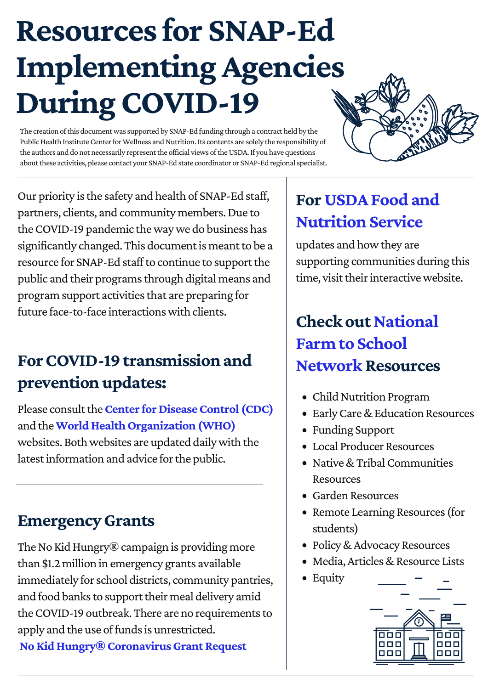## **Resources for SNAP-Ed Implementing Agencies During COVID-19**

The creation of this document was supported by SNAP-Ed funding through a contract held by the Public Health Institute Center for Wellness and Nutrition. Its contents are solely the responsibility of the authors and do not necessarily represent the official views of the USDA. If you have questions about these activities, please contact your SNAP-Ed state coordinator or SNAP-Ed regional specialist.



Our priority is the safety and health of SNAP-Ed staff, partners, clients, and community members. Due to the COVID-19 pandemic the way we do business has significantly changed. This document is meant to be a resource for SNAP-Ed staff to continue to support the public and their programs through digital means and program support activities that are preparing for future face-to-face interactions with clients.

### **For COVID-19 transmission and prevention updates:**

Please consult the**[Center for Disease Control \(CDC\)](https://www.cdc.gov/coronavirus/2019-ncov/index.html?utm_source=Center+for+Wellness+and+Nutrition+Subscribers&utm_campaign=8c09dc6227-EMAIL_CAMPAIGN_2020_03_21_12_14&utm_medium=email&utm_term=0_731076a867-8c09dc6227-#_blank)** and the**[World Health Organization \(WHO\)](https://www.who.int/emergencies/diseases/novel-coronavirus-2019?utm_source=Center+for+Wellness+and+Nutrition+Subscribers&utm_campaign=8c09dc6227-EMAIL_CAMPAIGN_2020_03_21_12_14&utm_medium=email&utm_term=0_731076a867-8c09dc6227-#_blank)** websites. Both websites are updated daily with the latest information and advice for the public.

#### **Emergency Grants**

The No Kid Hungry® campaign is providing more than \$1.2 million in emergency grants available immediately for school districts, community pantries, and food banks to support their meal delivery amid the COVID-19 outbreak. There are no requirements to apply and the use of funds is unrestricted. **[No Kid Hungry® Coronavirus Grant Request](https://www.nokidhungry.org/coronavirus-grant-request)**

### **[For USDA Food and](https://www.fns.usda.gov/disaster/pandemic/covid-19) Nutrition Service**

updates and how they are supporting communities during this time, visit their interactive website.

### **Check out National Farm to School [Network Resources](http://www.farmtoschool.org/resources-main/covid-19-resources-for-farm-to-school-and-ece)**

- Child Nutrition Program
- Early Care & Education Resources
- Funding Support
- Local Producer Resources
- Native & Tribal Communities Resources
- Garden Resources
- Remote Learning Resources (for students)
- Policy & Advocacy Resources
- Media, Articles & Resource Lists
- Equity

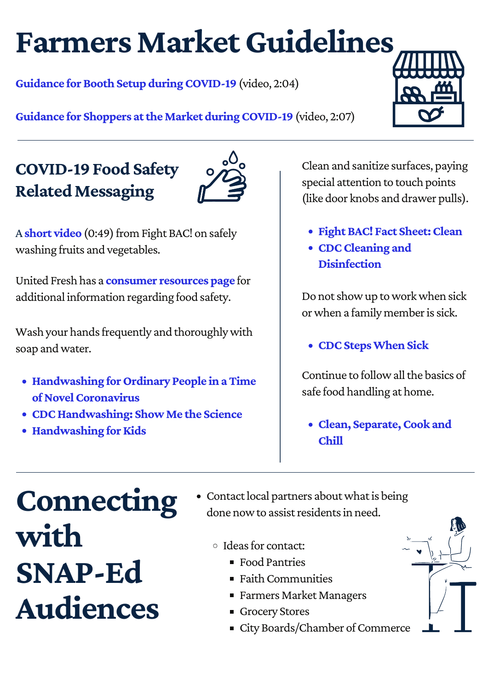### **Farmers Market Guidelines**

**Guidance for Booth Setup during COVID-19** (video, 2:04)

**Guidance for Shoppers attheMarket [duringCOVID-19](https://www.youtube.com/watch?v=QPx8yXLuzwI)** (video, 2:07)

### **COVID-19 Food Safety RelatedMessaging**



A **short [video](https://www.fightbac.org/coronavirus-resource-page/)** (0:49) from Fight BAC! on safely washing fruits and vegetables.

United Fresh has a **[consumer](https://www.unitedfresh.org/coronavirus-consumer-resource-page/) resources page** for additional information regarding food safety.

Wash your hands frequently and thoroughly with soap andwater.

- **Handwashing forOrdinary People inaTime of Novel Coronavirus**
- **[CDCHandwashing:](https://www.cdc.gov/handwashing/show-me-the-science.html) ShowMe the Science**
- **[Handwashing](https://www.fightbac.org/featured/) for Kids**

Clean and sanitize surfaces, paying special attention to touch points (like door knobs and drawer pulls).

- **FightBAC! Fact [Sheet:Clean](https://www.fightbac.org/wp-content/uploads/2016/04/PFSE-7696-Fact-Sheets-Clean_FINAL.pdf)**
- **[CDCCleaning](https://www.cdc.gov/coronavirus/2019-ncov/community/home/cleaning-disinfection.html) and Disinfection**

Do not show up to work when sick or when a family member is sick.

**• CDC Steps When Sick** 

Continue to follow all the basics of safe food handling at home.

**Clean, [Separate,Cook](https://www.fightbac.org/food-safety-basics/the-core-four-practices/) and Chill**

### **Connecting with SNAP-Ed Audiences**

• Contact local partners about what is being done now to assist residents in need.

o Ideas for contact:

- Food Pantries
- $\blacksquare$  Faith Communities
- Farmers Market Managers
- Grocery Stores
- City Boards/Chamber of Commerce

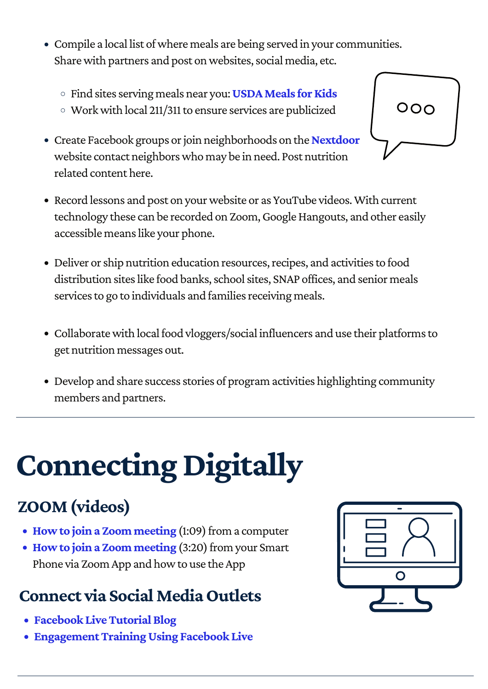- Compile a local list of where meals are being served in your communities. Share with partners and post on websites, social media, etc.
	- Find sitesserving meals near you:**[USDAMeals](https://www.fns.usda.gov/meals4kids) forKids**
	- Workwith local 211/311to ensure services are publicized
- **Create Facebook groups or join neighborhoods on the [Nextdoor](https://nextdoor.com/)** website contact neighborswho may be in need. Post nutrition related content here.
- Record lessons and post on your website or as YouTube videos. With current technology these can be recorded on Zoom, Google Hangouts, and other easily accessible means like your phone.
- Deliver or ship nutrition education resources, recipes, and activities to food distribution sites like food banks, school sites, SNAP offices, and senior meals services to go to individuals and families receiving meals.
- Collaborate with local food vloggers/social influencers and use their platforms to get nutrition messages out.
- Develop and share success stories of program activities highlighting community members and partners.

# **Connecting Digitally**

### **ZOOM(videos)**

- How to join a Zoom [meeting](https://support.zoom.us/hc/en-us/articles/201362193-Joining-a-Meeting) (1:09) from a computer
- How to join a Zoom [meeting](https://www.youtube.com/watch?v=lO206_NezaY&feature=youtu.be) (3:20) from your Smart Phone via Zoom App and how to use the App

### **Connect via SocialMediaOutlets**

- **Facebook Live Tutorial Blog**
- **[EngagementTrainingUsing](https://www.facebookblueprint.com/student/activity/180756) Facebook Live**

| $\mathbf O$ |
|-------------|
|             |
|             |
|             |

000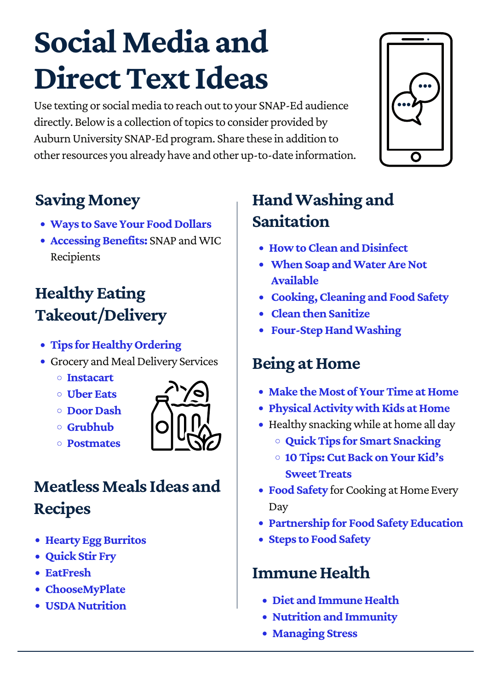## **Social Media and Direct Text Ideas**

Use texting or social media to reach out to your SNAP-Ed audience directly. Below is a collection of topics to consider provided by Auburn University SNAP-Ed program. Share these in addition to other resources you already have and other up-to-date information.



### **Saving Money**

- **[Ways to Save Your Food Dollars](https://www.aces.edu/blog/topics/for-you/ways-to-save-your-food-dollars/)**
- **[Accessing Benefits:](https://www.fns.usda.gov/disaster/pandemic/covid-19)** SNAP and WIC Recipients

### **Healthy Eating Takeout/Delivery**

- **[Tips for Healthy Ordering](https://www.eatright.org/food/nutrition/eating-as-a-family/tips-for-ordering-takeout-or-delivery)**
- Grocery and Meal Delivery Services
	- **[Instacart](https://www.instacart.com/)**
	- **[Uber Eats](https://www.ubereats.com/)**
	- **[Door Dash](https://www.doordash.com/en-US)**
	- **[Grubhub](https://www.grubhub.com/)**
	- **[Postmates](https://postmates.com/)**



### **Meatless Meals Ideas and Recipes**

- **[Hearty Egg Burritos](https://www.aces.edu/blog/topics/by-ingredients/live-well-recipe-hearty-egg-burritos/)**
- **[Quick Stir Fry](https://www.aces.edu/blog/topics/by-ingredients/live-well-recipe-quick-stir-fry/)**
- **[EatFresh](https://eatfresh.org/recipe/filter-dietary/vegetarian-378)**
- **[ChooseMyPlate](https://www.choosemyplate.gov/myplatekitchen/recipes?f%5B0%5D=cuisine%3A139)**
- **[USDA Nutrition](https://www.nutrition.gov/topics/shopping-cooking-and-food-safety/recipes)**

### **Hand Washing and Sanitation**

- **[How to Clean and Disinfect](https://www.cdc.gov/coronavirus/2019-ncov/community/organizations/cleaning-disinfection.html#How%20to%20Clean%20and%20Disinfect)**
- **[When Soap and Water Are Not](https://www.fda.gov/consumers/if-soap-and-water-are-not-available-hand-sanitizers-may-be-good-alternative)  Available**
- **[Cooking, Cleaning and Food Safety](https://www.nsf.org/consumer-resources/cooking-cleaning-food-safety)**
- **[Clean then Sanitize](https://www.usda.gov/media/blog/2019/08/27/clean-then-sanitize-one-two-punch-stop-foodborne-illness-kitchen)**
- **[Four-Step Hand Washing](https://www.eatright.org/homefoodsafety/four-steps/wash/hand-washing)**

#### **Being at Home**

- **[Make the Most of Your Time at Home](https://www.eatright.org/health/wellness/preventing-illness/make-the-most-of-your-time-at-home)**
- **[Physical Activity with Kids at Home](https://www.aces.edu/blog/topics/health/coronavirus-physical-activity-kids/)**
- Healthy snacking while at home all day
	- **[Quick Tips for Smart Snacking](https://www.aces.edu/blog/topics/for-you/quick-tips-for-smart-snacking/)**
	- **[10 Tips: Cut Back on Your Kid's](https://www.choosemyplate.gov/ten-tips-cut-back-on-sweet-treats) Sweet Treats**
- **[Food Safety](https://www.choosemyplate.gov/resources/food-safety)** for Cooking at Home Every Day
- **[Partnership for Food Safety Education](https://www.fightbac.org/coronavirus-resource-page/)**
- **[Steps to Food Safety](https://www.foodsafety.gov/keep-food-safe/4-steps-to-food-safety#clean)**

#### **Immune Health**

- **[Diet and Immune Health](https://www.eatright.org/health/wellness/preventing-illness/how-to-keep-your-immune-system-healthy)**
- **[Nutrition and Immunity](https://www.eatright.org/health/wellness/preventing-illness/support-your-health-with-nutrition)**
- **[Managing Stress](https://www.eatright.org/health/wellness/preventing-illness/lifestyle-and-managing-stress)**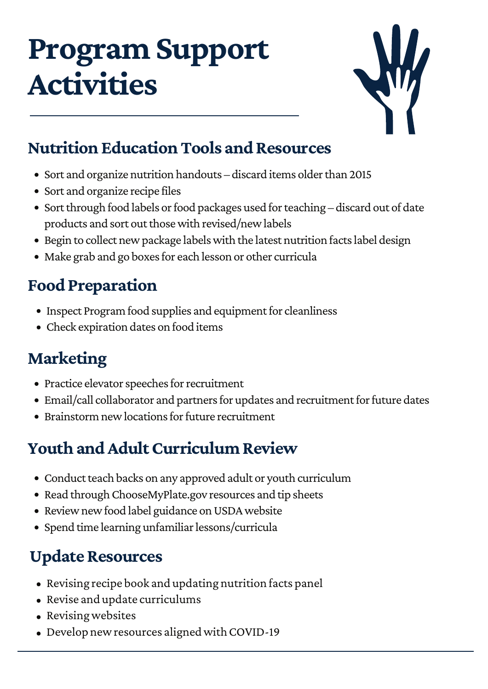### **Program Support Activities**



#### **Nutrition Education Tools and Resources**

- Sort and organize nutrition handouts discard items older than 2015
- Sort and organize recipe files
- Sort through food labels or food packages used for teaching discard out of date products and sort out those with revised/new labels
- Begin to collect new package labels with the latest nutrition facts label design
- Make grab and go boxes for each lesson or other curricula

### **Food Preparation**

- Inspect Program food supplies and equipment for cleanliness
- Check expiration dates on food items

### **Marketing**

- Practice elevator speeches for recruitment
- Email/call collaborator and partners for updates and recruitment for future dates
- Brainstorm new locations for future recruitment

### **Youth and Adult Curriculum Review**

- Conduct teach backs on any approved adult or youth curriculum
- Read through ChooseMyPlate.gov resources and tip sheets
- Review new food label guidance on USDA website
- Spend time learning unfamiliar lessons/curricula

### **Update Resources**

- Revising recipe book and updating nutrition facts panel
- Revise and update curriculums
- Revising websites
- Develop new resources aligned with COVID-19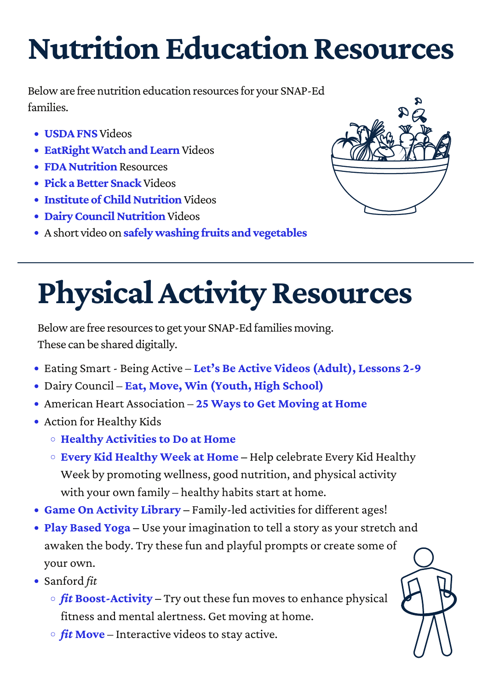## **Nutrition Education Resources**

Below are free nutrition education resources for your SNAP-Ed families.

- **[USDAFNS](https://www.youtube.com/user/USDAfoodandnutrition)** Videos
- **EatRight Watch and Learn** Videos
- **FDA Nutrition** Resources
- **Pick a Better Snack** Videos
- **Institute of Child Nutrition** Videos
- **Dairy Council Nutrition Videos**
- Ashort video on **[safelywashing](https://www.fightbac.org/coronavirus-resource-page/) fruits and vegetables**



# **Physical Activity Resources**

Below are free resources to get your SNAP-Ed families moving. These can be shared digitally.

- Eating Smart Being Active **Let's Be Active Videos [\(Adult\),](http://eatingsmartbeingactive.colostate.edu/eating-smart-%e2%80%a2-being-active/resources-for-implementation/physical-activity/lesson-videos/) Lessons 2-9**
- Dairy Council **Eat, Move, Win [\(Youth,](https://www.healthyeating.org/Schools/Classroom-Programs/High-School-Eat-Move-Win-Online) High School)**
- American Heart Association **25 Ways to Get [Moving](https://www.heart.org/en/healthy-living/fitness/getting-active/25-ways-to-get-moving-at-home-infographic) at Home**
- Action for Healthy Kids
	- **Healthy [Activities](https://www.actionforhealthykids.org/healthy-activities-to-do-at-home/) to Do at Home**
	- **Every Kid [Healthy](https://www.actionforhealthykids.org/every-kid-healthy-week-resources/) Week at Home –** Help celebrate Every Kid Healthy Week by promoting wellness, good nutrition, and physical activity with your own family – healthy habits start at home.
- **Game On [Activity](https://www.actionforhealthykids.org/game-on-activity-library/?shtopicfilter%5B%5D=Physical+Activity&locationfilter%5B%5D=Home&rolefilter%5B%5D=Parent%2FFamily+Member) Library** Family-led activities for different ages!
- **Play [Based](https://www.actionforhealthykids.org/activity/exploring-imagination-play-based-yoga/) Yoga** Use your imagination to tell a story as your stretch and awaken the body. Try these fun and playful prompts or create some of your own.
- Sanford *fit*
	- $\circ$  *fit* **[Boost-Activity](https://fit.sanfordhealth.org/resources/fitboost-activity)** Try out these fun moves to enhance physical fitness and mental alertness. Get moving at home.
	- $\circ$  *fit* [Move](https://fit.sanfordhealth.org/discover?category=Move&contentType=Video+Page&sort=popular) Interactive videos to stay active.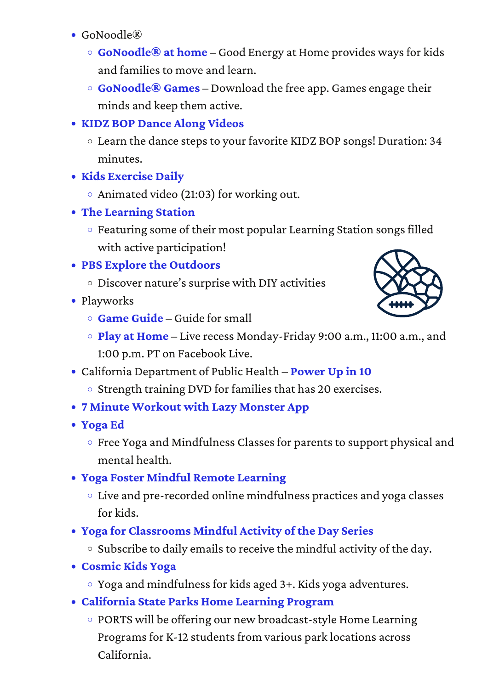- $\bullet$  GoNoodle<sup> $R$ </sup>
	- **[GoNoodle®](https://www.gonoodle.com/good-energy-at-home-kids-games-and-videos/) at home** Good Energy at Home provides waysfor kids and families to move and learn.
	- **[GoNoodle®](https://www.gonoodle.com/blog/gonoodle-games-movement-app-for-kids/) Games** Download the free app. Games engage their minds and keep them active.
- **KIDZ BOP Dance Along [Videos](https://youtu.be/sHd2s_saYsQ)**
	- Learn the dance stepsto your favorite KIDZ BOP songs! Duration: 34 minutes.
- **Kids [Exercise](https://www.youtube.com/watch?v=T8jI4RnHHf0) Daily**
	- Animated video (21:03) for working out.
- **The [Learning](https://www.youtube.com/user/TheLearningStation) Station**
	- $\circ$  Featuring some of their most popular Learning Station songs filled with active participation!
- **PBS Explore the [Outdoors](https://pbskids.org/outdoors/)**
	- $\circ$  Discover nature's surprise with DIY activities
- Playworks
	- **Game [Guide](https://www.playworks.org/wp-content/uploads/2019/05/Playworks-Game-Guide.pdf)** Guide forsmall



- **Play at [Home](https://www.facebook.com/MakeRecessCount/)** Live recess Monday-Friday 9:00 a.m., 11:00 a.m., and 1:00 p.m. PT on Facebook Live.
- California Department of Public Health **[Power](https://www.youtube.com/watch?v=lU69uuu2jQQ) Up in 10**
	- o Strength training DVD for families that has 20 exercises.
- **7 Minute [Workout](https://apps.apple.com/us/app/7-minute-workouts-lazy-monster/id882240858) with Lazy Monster App**
- **[Yoga](https://yogaed.com/school-closures) Ed**
	- Free Yoga and Mindfulness Classes for parents to support physical and mental health.
- **Yoga Foster Mindful Remote [Learning](https://www.yogafoster.org/mindful-remote-learning?utm_source=Yoga+Foster+Supporters&utm_campaign=8c488a9b66-EMAIL_CAMPAIGN_2020_03_23_08_15&utm_medium=email&utm_term=0_fe6397f4a0-8c488a9b66-112324393)**
	- Live and pre-recorded online mindfulness practices and yoga classes for kids.
- **Yoga for [Classrooms](https://mailchi.mp/847739ea6584/yoga-mindfulness-classroom-activity-of-the-day-series?e=%5bUNIQID%5d) Mindful Activity of the Day Series**
	- $\circ$  Subscribe to daily emails to receive the mindful activity of the day.
- **[Cosmic](https://www.youtube.com/channel/UC5uIZ2KOZZeQDQo_Gsi_qbQ) Kids Yoga**
	- Yoga and mindfulnessfor kids aged 3+. Kids yoga adventures.
- **[California](http://www.ports.parks.ca.gov/) State Parks Home Learning Program**
	- PORTS will be offering our new broadcast-style Home Learning Programs for K-12 students from various park locations across California.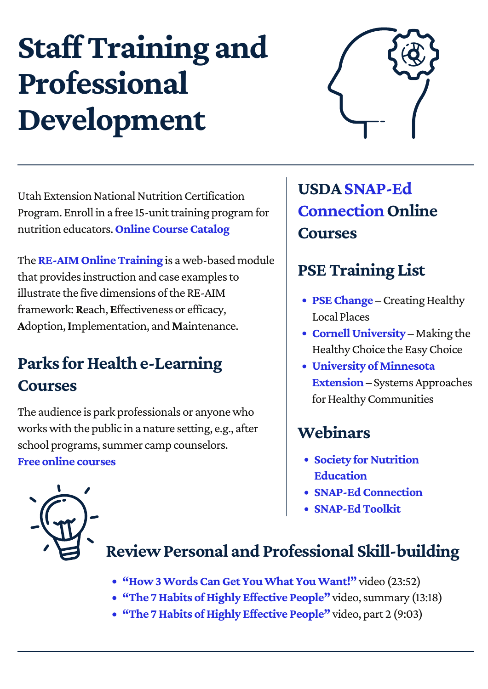## **Staff Training and Professional Development**



Utah Extension National Nutrition Certification Program. Enroll in a free 15-unit training program for nutrition educators.**[OnlineCourseCatalog](https://extension.learn.usu.edu/browse/food-sense)**

The **RE-AIM Online Training** is a web-based module that provides instruction and case examples to illustrate the five dimensions of the RE-AIM framework:**R**each,**E**ffectiveness or efficacy, **A**doption,**I**mplementation, and**M**aintenance.

### **Parks for Health e-Learning Courses**

The audience is park professionals or anyonewho workswith the public in a nature setting, e.g., after school programs, summer camp counselors. **Free online [courses](https://instituteatgoldengate.org/parks-health)**

**USDASNAP-Ed Connection Online Courses**

### **PSETraining List**

- PSE Change Creating Healthy Local Places
- **Cornell University** Making the HealthyChoice the EasyChoice
- **University [ofMinnesota](https://extension.umn.edu/nutrition-education/systems-approaches-healthy-communities) Extension** – Systems Approaches for Healthy Communities

#### **Webinars**

- **Society for Nutrition Education**
- **SNAP-Ed Connection**
- **[SNAP-EdToolkit](https://snapedtoolkit.org/training/webinars/)**



### **ReviewPersonal and Professional Skill-building**

- **["How3WordsCanGetYouWhatYouWant!"](https://www.youtube.com/watch?v=L9UIF852Boo&feature=youtu.be)** video (23:52)
- **"The 7 Habits of Highly Effective People"** video, summary (13:18)
- **"The 7Habits [ofHighly](https://www.youtube.com/watch?v=5LbCRx1UbWY&feature=youtu.be) Effective People"** video, part 2 (9:03)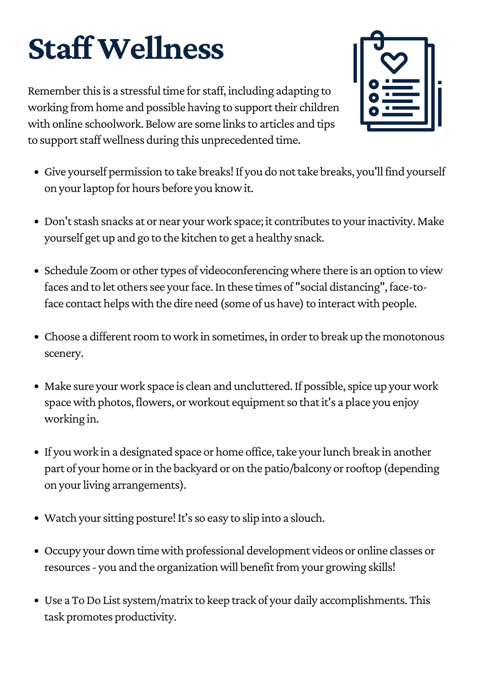# **StaffWellness**

Remember this is a stressful time for staff, including adapting to working from home and possible having to support their children with online schoolwork. Below are some links to articles and tips to support staff wellness during this unprecedented time.



- Give yourself permission to take breaks! If you do not take breaks, you'll find yourself on yourlaptop for hours before you knowit.
- Don't stash snacks at or near your work space; it contributes to your inactivity. Make yourself get up and go to the kitchen to get a healthy snack.
- Schedule Zoom or other types of videoconferencing where there is an option to view faces and to let others see your face. In these times of "social distancing", face-toface contact helps with the dire need (some of us have) to interact with people.
- Choose a different room to work in sometimes, in order to break up the monotonous scenery.
- Make sure your work space is clean and uncluttered. If possible, spice up your work space with photos, flowers, or workout equipment so that it's a place you enjoy working in.
- If you work in a designated space or home office, take your lunch break in another part of your home or in the backyard or on the patio/balcony or rooftop (depending on your living arrangements).
- Watch your sitting posture! It's so easy to slip into a slouch.
- Occupy your down timewith professional development videos or online classes or resources - you and the organization will benefit from your growing skills!
- Use a To Do List system/matrix to keep track of your daily accomplishments. This task promotes productivity.